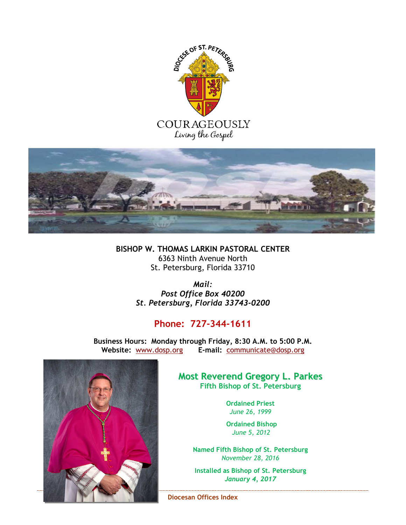



**BISHOP W. THOMAS LARKIN PASTORAL CENTER** 6363 Ninth Avenue North St. Petersburg, Florida 33710

> *Mail: Post Office Box 40200 St. Petersburg, Florida 33743-0200*

# **Phone: 727-344-1611**

**Business Hours: Monday through Friday, 8:30 A.M. to 5:00 P.M. Website:** [www.dosp.org](http://www.dosp.org/) **E-mail:** [communicate@dosp.org](mailto:communicate@dosp.org)



# **Most Reverend Gregory L. Parkes Fifth Bishop of St. Petersburg**

**Ordained Priest** *June 26, 1999*

 **Ordained Bishop**  *June 5, 2012*

**Named Fifth Bishop of St. Petersburg** *November 28, 2016*

**Installed as Bishop of St. Petersburg** *January 4, 2017*

**Diocesan Offices Index**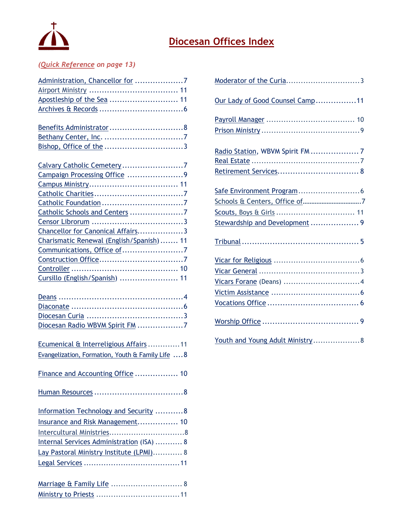

# **Diocesan Offices Index**

# *(Quick Reference on page 13)*

| Administration, Chancellor for 7                  |
|---------------------------------------------------|
|                                                   |
| Apostleship of the Sea  11                        |
|                                                   |
|                                                   |
|                                                   |
|                                                   |
|                                                   |
|                                                   |
| Calvary Catholic Cemetery7                        |
| Campaign Processing Office 9                      |
|                                                   |
|                                                   |
|                                                   |
| Catholic Schools and Centers 7                    |
|                                                   |
| Chancellor for Canonical Affairs3                 |
| Charismatic Renewal (English/Spanish)  11         |
| Communications, Office of 7                       |
|                                                   |
|                                                   |
| Cursillo (English/Spanish)  11                    |
|                                                   |
|                                                   |
|                                                   |
|                                                   |
| Diocesan Radio WBVM Spirit FM 7                   |
|                                                   |
| Ecumenical & Interreligious Affairs 11            |
| Evangelization, Formation, Youth & Family Life  8 |
|                                                   |
| Finance and Accounting Office  10                 |
|                                                   |
|                                                   |
|                                                   |
| Information Technology and Security 8             |
| Insurance and Risk Management 10                  |
|                                                   |
| Internal Services Administration (ISA)  8         |
|                                                   |
| Lay Pastoral Ministry Institute (LPMI) 8          |
|                                                   |
|                                                   |
| Marriage & Family Life  8                         |
|                                                   |

<span id="page-1-0"></span>

| Moderator of the Curia3          |
|----------------------------------|
| Our Lady of Good Counsel Camp11  |
|                                  |
|                                  |
| Radio Station, WBVM Spirit FM  7 |
|                                  |
|                                  |
|                                  |
|                                  |
|                                  |
| Stewardship and Development  9   |
|                                  |
|                                  |
|                                  |
|                                  |
|                                  |
|                                  |
|                                  |
| Youth and Young Adult Ministry 8 |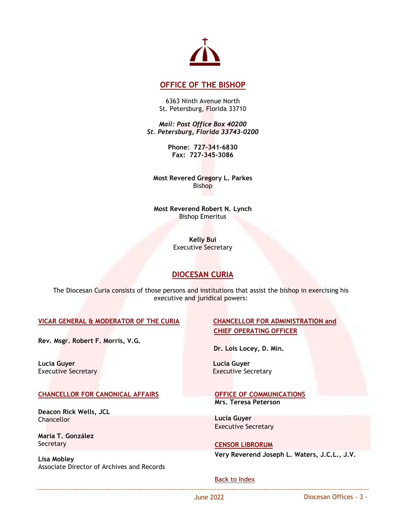

# <span id="page-2-0"></span>**[OFFICE OF THE BISHOP](https://www.dosp.org/bishop/)**

6363 Ninth Avenue North St. Petersburg, Florida 33710

*Mail: Post Office Box 40200 St. Petersburg, Florida 33743-0200*

> **Phone: 727-341-6830 Fax: 727-345-3086**

**Most Revered Gregory L. Parkes** Bishop

**Most Reverend Robert N. Lynch** Bishop Emeritus

> **Kelly Bui** Executive Secretary

# <span id="page-2-3"></span>**DIOCESAN CURIA**

<span id="page-2-4"></span>The Diocesan Curia consists of those persons and institutions that assist the bishop in exercising his executive and juridical powers:

## <span id="page-2-5"></span>**VICAR GENERAL [& MODERATOR OF THE CURIA](https://www.dosp.org/moderator-of-the-curia/) CHANCELLOR FOR ADMINISTRATION and**

**Rev. Msgr. Robert F. Morris, V.G.** 

**Lucia Guyer Lucia Guyer**

## <span id="page-2-2"></span>**[CHANCELLOR](https://www.dosp.org/chancellor/) FOR CANONICAL AFFAIRS**

**Deacon Rick Wells, JCL Chancellor** 

**María T. González Secretary** 

**Lisa Mobley** Associate Director of Archives and Records

# **CHIEF OPERATING OFFICER**

 **Dr. Lois Locey, D. Min.**

**Executive Secretary** 

#### **OFFICE OF [COMMUNICATIONS](https://www.dosp.org/communications/) Mrs. Teresa Peterson**

**Lucia Guyer** Executive Secretary

<span id="page-2-1"></span>**[CENSOR LIBRORUM](https://www.dosp.org/censor-librorum/) Very Reverend Joseph L. Waters, J.C.L., J.V.**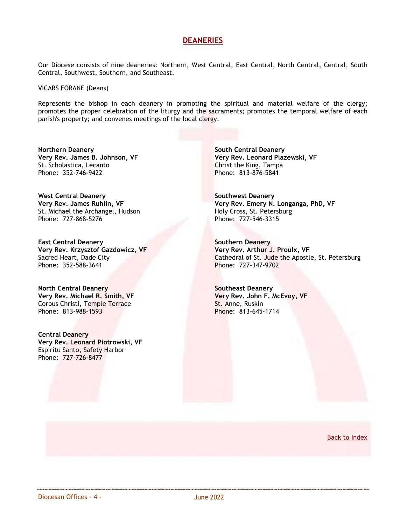# **[DEANERIES](http://www.dosp.org/chancellor/directory/deaneries/)**

Our Diocese consists of nine deaneries: Northern, West Central, East Central, North Central, Central, South Central, Southwest, Southern, and Southeast.

<span id="page-3-1"></span><span id="page-3-0"></span>VICARS FORANE (Deans)

Represents the bishop in each deanery in promoting the spiritual and material welfare of the clergy; promotes the proper celebration of the liturgy and the sacraments; promotes the temporal welfare of each parish's property; and convenes meetings of the local clergy.

**Northern Deanery Very Rev. James B. Johnson, VF** St. Scholastica, Lecanto Phone: 352-746-9422

**West Central Deanery Very Rev. James Ruhlin, VF** St. Michael the Archangel, Hudson Phone: 727-868-5276

**East Central Deanery Very Rev. Krzysztof Gazdowicz, VF** Sacred Heart, Dade City Phone: 352-588-3641

**North Central Deanery Very Rev. Michael R. Smith, VF** Corpus Christi, Temple Terrace Phone: 813-988-1593

**Central Deanery Very Rev. Leonard Piotrowski, VF** Espiritu Santo, Safety Harbor Phone: 727-726-8477

**South Central Deanery Very Rev. Leonard Plazewski, VF** Christ the King, Tampa Phone: 813-876-5841

**Southwest Deanery Very Rev. Emery N. Longanga, PhD, VF** Holy Cross, St. Petersburg Phone: 727-546-3315

**Southern Deanery Very Rev. Arthur J. Proulx, VF** Cathedral of St. Jude the Apostle, St. Petersburg Phone: 727-347-9702

**Southeast Deanery Very Rev. John F. McEvoy, VF** St. Anne, Ruskin Phone: 813-645-1714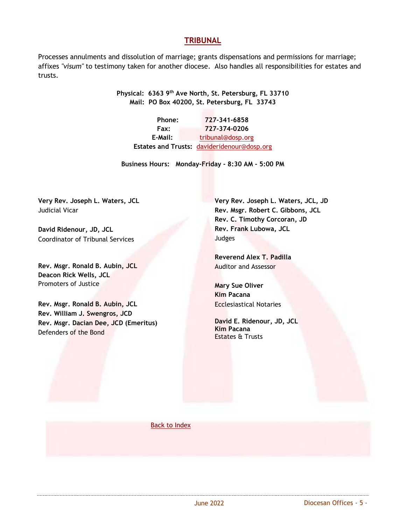# <span id="page-4-0"></span>**[TRIBUNAL](http://www.dosp.org/tribunal/)**

Processes annulments and dissolution of marriage; grants dispensations and permissions for marriage; affixes *"visum"* to testimony taken for another diocese. Also handles all responsibilities for estates and trusts.

> **Physical: 6363 9th Ave North, St. Petersburg, FL 33710 Mail: PO Box 40200, St. Petersburg, FL 33743**

**Phone: 727-341-6858 Fax: 727-374-0206** E-Mail: [tribunal@dosp.org](mailto:tribunal@dosp.org) **Estates and Trusts:** [davideridenour@dosp.org](mailto:davideridenour@dosp.org)

**Business Hours: Monday-Friday - 8:30 AM - 5:00 PM**

**Very Rev. Joseph L. Waters, JCL** Judicial Vicar

**David Ridenour, JD, JCL** Coordinator of Tribunal Services

**Rev. Msgr. Ronald B. Aubin, JCL Deacon Rick Wells, JCL** Promoters of Justice

**Rev. Msgr. Ronald B. Aubin, JCL Rev. William J. Swengros, JCD Rev. Msgr. Dacian Dee, JCD (Emeritus)** Defenders of the Bond

**Very Rev. Joseph L. Waters, JCL, JD Rev. Msgr. Robert C. Gibbons, JCL Rev. C. Timothy Corcoran, JD Rev. Frank Lubowa, JCL** Judges

**Reverend Alex T. Padilla** Auditor and Assessor

**Mary Sue Oliver Kim Pacana** Ecclesiastical Notaries

**David E. Ridenour, JD, JCL Kim Pacana**  Estates & Trusts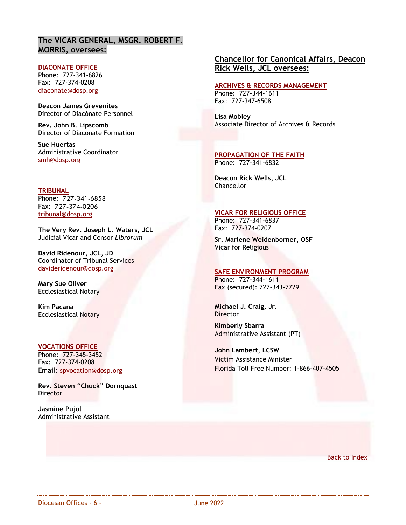# **The VICAR GENERAL, MSGR. ROBERT F. MORRIS, oversees:**

#### <span id="page-5-0"></span>**[DIACONATE OFFICE](http://www.dosp.org/diaconate/)**

Phone: 727-341-6826 Fax: 727-374-0208 [diaconate@dosp.org](mailto:diaconate@dosp.org)

**Deacon James Grevenites** Director of Diacónate Personnel

**Rev. John B. Lipscomb** Director of Diaconate Formation

**Sue Huertas** Administrative Coordinator [smh@dosp.org](mailto:smh@dosp.org)

**TRIBUNAL** Phone: 727-341-6858 Fax: 727-374-0206 [tribunal@dosp.org](mailto:tribunal@dosp.org)

**The Very Rev. Joseph L. Waters, JCL** Judicial Vicar and Censor *Librorum*

**David Ridenour, JCL, JD** Coordinator of Tribunal Services [davideridenour@dosp.org](mailto:davideridenour@dosp.org)

**Mary Sue Oliver** Ecclesiastical Notary

**Kim Pacana** Ecclesiastical Notary

#### **[VOCATIONS OFFICE](https://www.dosp.org/vocations/)**

Phone: 727-345-3452 Fax: 727-374-0208 Email: [spvocation@dosp.org](mailto:spvocation@dosp.org)

**Rev. Steven "Chuck" Dornquast Director** 

**Jasmine Pujol** Administrative Assistant

# **Chancellor for Canonical Affairs, Deacon Rick Wells, JCL oversees:**

# **[ARCHIVES & RECORDS MANAGEMENT](http://www.dosp.org/chancellor/office-of-archives-and-records/)**

Phone: 727-344-1611 Fax: 727-347-6508

**Lisa Mobley** Associate Director of Archives & Records

**PROPAGATION OF THE FAITH** Phone: 727-341-6832

**Deacon Rick Wells, JCL Chancellor** 

## **[VICAR FOR RELIGIOUS OFFICE](http://www.dosp.org/religious/)**

Phone: 727-341-6837 Fax: 727-374-0207

**Sr. Marlene Weidenborner, OSF** Vicar for Religious

#### <span id="page-5-1"></span>**SAFE ENVIRONMENT PROGRAM**

Phone: 727-344-1611 Fax (secured): 727-343-7729

**Michael J. Craig, Jr.** Director

**Kimberly Sbarra** Administrative Assistant (PT)

**John Lambert, LCSW** Victim Assistance Minister Florida Toll Free Number: 1-866-407-4505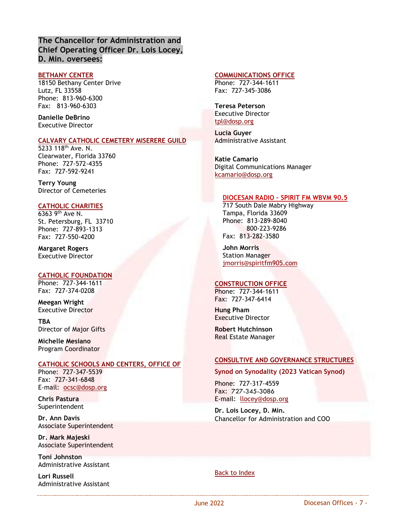# **The Chancellor for Administration and Chief Operating Officer Dr. Lois Locey, D. Min. oversees:**

#### <span id="page-6-0"></span>**[BETHANY CENTER](http://www.bethanycenterfl.org/)**

18150 Bethany Center Drive Lutz, FL 33558 Phone: 813-960-6300 Fax: 813-960-6303

**Danielle DeBrino** Executive Director

#### <span id="page-6-1"></span>**[CALVARY CATHOLIC CEMETERY MISERERE GUILD](http://www.calvarycemetery.net/)**

5233 118<sup>th</sup> Ave. N. Clearwater, Florida 33760 Phone: 727-572-4355 Fax: 727-592-9241

**Terry Young** Director of Cemeteries

### <span id="page-6-2"></span>**[CATHOLIC CHARITIES](http://ccdosp.org/)**

6363 9th Ave N. St. Petersburg, FL 33710 Phone: 727-893-1313 Fax: 727-550-4200

**Margaret Rogers** Executive Director

## <span id="page-6-3"></span>**[CATHOLIC FOUNDATION](https://catholicfoundation.org/)**

Phone: 727-344-1611 Fax: 727-374-0208

**Meegan Wright** Executive Director

**TBA** Director of Major Gifts

**Michelle Mesiano**  Program Coordinator

#### **[CATHOLIC SCHOOLS AND CENTERS, OFFICE OF](https://www.dosp.org/schools-office/)**

Phone: 727-347-5539 Fax:727-341-6848 E-mail: [ocsc@dosp.org](mailto:ocsc@dosp.org)

**Chris Pastura** Superintendent

**Dr. Ann Davis** Associate Superintendent

**Dr. Mark Majeski** Associate Superintendent

**Toni Johnston** Administrative Assistant

**Lori Russell** Administrative Assistant

### <span id="page-6-4"></span>**[COMMUNICATIONS](http://www.dosp.org/communications/) OFFICE**

Phone: 727-344-1611 Fax: 727-345-3086

**Teresa Peterson**  Executive Director [tpl@dosp.org](mailto:tpl@dosp.org)

**Lucia Guyer** Administrative Assistant

**Katie Camario** Digital Communications Manager [kcamario@dosp.org](mailto:kcamario@dosp.org)

### <span id="page-6-6"></span> **DIOCESAN RADIO – [SPIRIT FM](http://www.spiritfm905.com/) WBVM 90.5**

<span id="page-6-7"></span> 717 South Dale Mabry Highway Tampa, Florida 33609 Phone: 813-289-8040 800-223-9286 Fax: 813-282-3580

 **John Morris** Station Manager [jmorris@spiritfm905.com](mailto:jmorris@spiritfm905.com)

## <span id="page-6-5"></span>**[CONSTRUCTION OFFICE](http://www.dosp.org/construction/)**

Phone: 727-344-1611 Fax: 727-347-6414

**Hung Pham** Executive Director

**Robert Hutchinson** Real Estate Manager

## **CONSULTIVE AND GOVERNANCE STRUCTURES**

**Synod on Synodality (2023 Vatican Synod)**

Phone: 727-317-4559 Fax:727-345-3086 E-mail: [llocey@dosp.org](mailto:llocey@dosp.org)

**Dr. Lois Locey, D. Min.** Chancellor for Administration and COO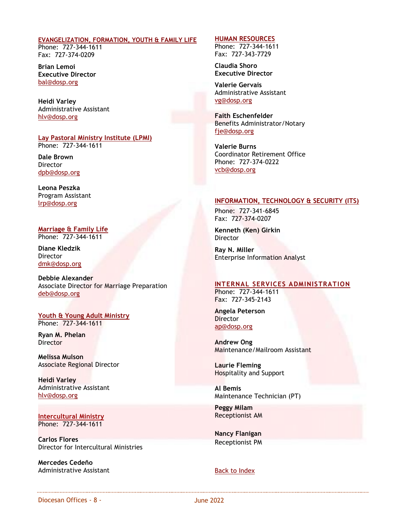#### <span id="page-7-0"></span>**[EVANGELIZATION, FORMATION, YOUTH & FAMILY LIFE](http://www.dosp.org/evangelization/)**

Phone: 727-344-1611 Fax: 727-374-0209

**Brian Lemoi Executive Director** [bal@dosp.org](mailto:bal@dosp.org)

**Heidi Varley** Administrative Assistant [hlv@dosp.org](mailto:hlv@dosp.org)

**[Lay Pastoral Ministry Institute](https://www.dosp.org/lpmi/) (LPMI)** Phone: 727-344-1611

**Dale Brown Director** [dpb@dosp.org](mailto:dpb@dosp.org)

**Leona Peszka** Program Assistant [lrp@dosp.org](mailto:raa@dosp.org)

<span id="page-7-2"></span>**[Marriage & Family Life](https://www.dosp.org/marriage-and-family/)** Phone: 727-344-1611

**Diane Kledzik Director** [dmk@dosp.org](mailto:dmk@dosp.org)

**Debbie Alexander** Associate Director for Marriage Preparation [deb@dosp.org](mailto:deb@dosp.org)

**[Youth & Young Adult Ministry](https://www.dosp.org/young-church/)** Phone: 727-344-1611

**Ryan M. Phelan Director** 

**Melissa Mulson** Associate Regional Director

**Heidi Varley** Administrative Assistant [hlv@dosp.org](mailto:hlv@dosp.org)

**Intercultural Ministry** Phone: 727-344-1611

**Carlos Flores**  Director for Intercultural Ministries

**Mercedes Cedeño** Administrative Assistant

#### **[HUMAN RESOURCES](http://www.dosp.org/humanresources/)**

Phone: 727-344-1611 Fax: 727-343-7729

**Claudia Shoro Executive Director**

**Valerie Gervais** Administrative Assistant [vg@dosp.org](mailto:vg@dosp.org)

**Faith Eschenfelder** Benefits Administrator/Notary [fje@dosp.org](mailto:fje@dosp.org)

<span id="page-7-1"></span>**Valerie Burns** Coordinator Retirement Office Phone: 727-374-0222 [vcb@dosp.org](mailto:vcb@dosp.org)

### **INFORMATION, TECHNOLOGY & SECURITY (ITS)**

Phone: 727-341-6845 Fax: 727-374-0207

**Kenneth (Ken) Girkin** Director

**Ray N. Miller** Enterprise Information Analyst

## **[INTERNAL SERVICES ADMINISTRATION](https://www.dosp.org/internal-services-administration/)**

Phone: 727-344-1611 Fax: 727-345-2143

<span id="page-7-3"></span>**Angela Peterson Director** [ap@dosp.org](mailto:ap@dosp.org)

**Andrew Ong** Maintenance/Mailroom Assistant

**Laurie Fleming** Hospitality and Support

**Al Bemis** Maintenance Technician (PT)

**Peggy Milam** Receptionist AM

**Nancy Flanigan** Receptionist PM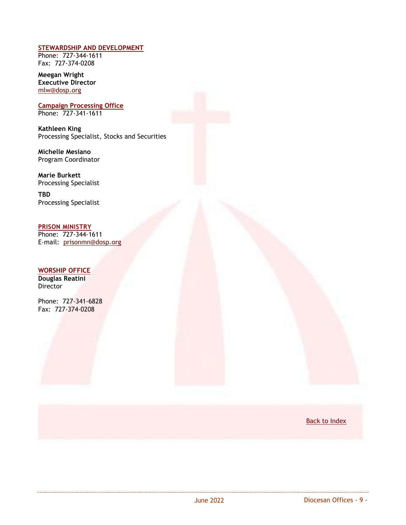### **[STEWARDSHIP AND DEVELOPMENT](http://www.dosp.org/stewardship/)**

Phone: 727-344-1611 Fax: 727-374-0208

**Meegan Wright Executive Director** [mlw@dosp.org](mailto:mlw@dosp.org)

**Campaign Processing Office** Phone: 727-341-1611

**Kathleen King**  Processing Specialist, Stocks and Securities

**Michelle Mesiano** Program Coordinator

**Marie Burkett** Processing Specialist

**TBD** Processing Specialist

<span id="page-8-0"></span>**[PRISON MINISTRY](https://www.dosp.org/prison/)** Phone: 727-344-1611

E-mail: [prisonmn@dosp.org](mailto:prisonmn@dosp.org)

# <span id="page-8-1"></span>**[WORSHIP OFFICE](http://www.dosp.org/worship/)**

**Douglas Reatini** Director

Phone: 727-341-6828 Fax: 727-374-0208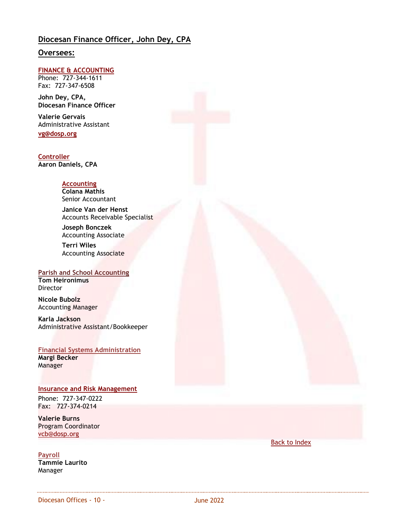# **Diocesan Finance Officer, John Dey, CPA**

# **Oversees:**

### <span id="page-9-0"></span>**[FINANCE](http://www.dosp.org/finance/) & ACCOUNTING**

Phone: 727-344-1611 Fax: 727-347-6508

**John Dey, CPA, Diocesan Finance Officer**

**Valerie Gervais** Administrative Assistant **[vg@dosp.org](mailto:vg@dosp.org)**

**Controller Aaron Daniels, CPA**

### **Accounting**

**Colana Mathis** Senior Accountant

**Janice Van der Henst** Accounts Receivable Specialist

**Joseph Bonczek** Accounting Associate

**Terri Wiles** Accounting Associate

# <span id="page-9-2"></span>**Parish and School Accounting**

**Tom Heironimus** Director

**Nicole Bubolz** Accounting Manager

**Karla Jackson** Administrative Assistant/Bookkeeper

**Financial Systems Administration Margi Becker** Manager

#### <span id="page-9-1"></span>**[Insurance and Risk Management](http://www.dosp.org/insurance/)**

Phone: 727-347-0222 Fax: 727-374-0214

**Valerie Burns** Program Coordinator [vcb@dosp.org](mailto:vcb@dosp.org)

#### **Payroll**

**Tammie Laurito** Manager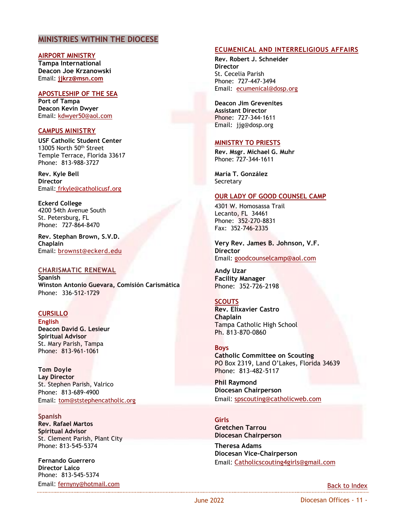## **MINISTRIES WITHIN THE DIOCESE**

**AIRPORT MINISTRY Tampa International Deacon Joe Krzanowski** Email: **[jjkrz@msn.com](mailto:jjkrz@msn.com)**

<span id="page-10-1"></span>**APOSTLESHIP OF THE SEA Port of Tampa Deacon Kevin Dwyer** Email: [kdwyer50@aol.com](mailto:kdwyer50@aol.com)

#### <span id="page-10-0"></span>**CAMPUS MINISTRY**

**[USF Catholic Student Center](https://catholicusf.org/)** 13005 North 50th Street Temple Terrace, Florida 33617 Phone: 813-988-3727

**Rev. Kyle Bell Director** Email: frkyle@catholicusf.org

**[Eckerd College](https://www.eckerd.edu/csl/campus-ministries/)**  4200 54th Avenue South St. Petersburg, FL Phone: 727-864-8470

**Rev. Stephan Brown, S.V.D. Chaplain** Email: [brownst@eckerd.edu](mailto:brownst@eckerd.edu)

#### <span id="page-10-2"></span>**CHARISMATIC RENEWAL**

**Spanish Winston Antonio Guevara, Comisión Carismática** Phone: 336-512-1729

## <span id="page-10-3"></span>**CURSILLO**

**English Deacon David G. Lesieur Spiritual Advisor** St. Mary Parish, Tampa Phone: 813-961-1061

**Tom Doyle Lay Director** St. Stephen Parish, Valrico Phone: 813-689-4900 Email: [tom@ststephencatholic.org](mailto:tom@ststephencatholic.org)

**Spanish Rev. Rafael Martos Spiritual Advisor** St. Clement Parish, Plant City Phone: 813-545-5374

**Fernando Guerrero Director Laico** Phone: 813-545-5374 Email: [fernyny@hotmail.com](mailto:fernyny@hotmail.com)

#### <span id="page-10-4"></span>**[ECUMENICAL AND INTERRELIGIOUS AFFAIRS](http://www.dosp.org/ecumenical/)**

**Rev. Robert J. Schneider Director** St. Cecelia Parish Phone: 727-447-3494 Email: [ecumenical@dosp.org](mailto:ecumenical@dosp.org)

**Deacon Jim Grevenites Assistant Director** Phone: 727-344-1611 Email: jjg@dosp.org

#### **[MINISTRY TO PRIESTS](https://www.dosp.org/ministry-to-priests/)**

**Rev. Msgr. Michael G. Muhr** Phone: 727-344-1611

**María T. González Secretary** 

#### <span id="page-10-5"></span>**[OUR LADY OF GOOD COUNSEL CAMP](http://goodcounselcamp.org/)**

4301 W. Homosassa Trail Lecanto, FL 34461 Phone: 352-270-8831 Fax: 352-746-2335

**Very Rev. James B. Johnson, V.F. Director** Email: [goodcounselcamp@aol.com](mailto:goodcounselcamp@aol.com)

**Andy Uzar Facility Manager** Phone: 352-726-2198

#### <span id="page-10-6"></span>**SCOUTS**

**Rev. Elixavier Castro Chaplain**  Tampa Catholic High School Ph. 813-870-0860

#### **[Boys](http://www.dosp.org/boyscouts/)**

**Catholic Committee on Scouting** PO Box 2319, Land O'Lakes, Florida 34639 Phone: 813-482-5117

**Phil Raymond Diocesan Chairperson** Email: [spscouting@catholicweb.com](mailto:spscouting@catholicweb.com) 

**[Girls](https://bit.ly/2MLxmoz) Gretchen Tarrou Diocesan Chairperson**

**Theresa Adams Diocesan Vice-Chairperson** Email: [Catholicscouting4girls@gmail.com](mailto:Catholicscouting4girls@gmail.com)